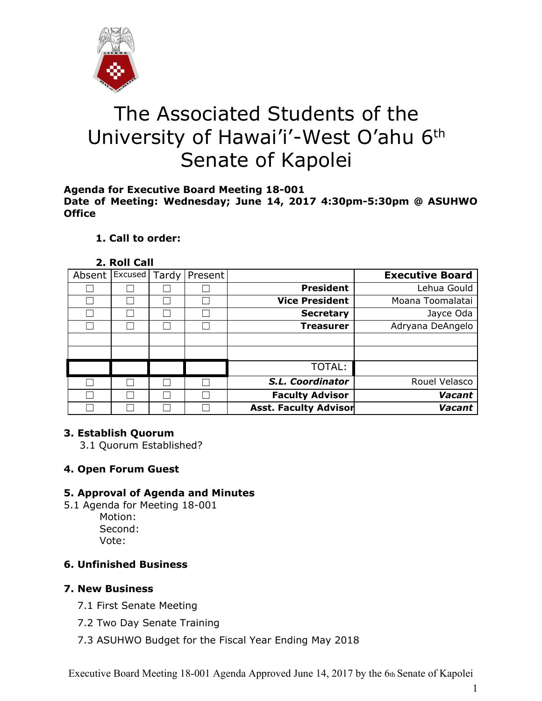

# The Associated Students of the University of Hawai'i'-West O'ahu 6<sup>th</sup> Senate of Kapolei

#### **Agenda for Executive Board Meeting 18-001 Date of Meeting: Wednesday; June 14, 2017 4:30pm-5:30pm @ ASUHWO Office**

# **1. Call to order:**

#### **2. Roll Call**

| <b>Executive Board</b>                    |  | Present | Tardy | Excused | Absent |  |
|-------------------------------------------|--|---------|-------|---------|--------|--|
| <b>President</b><br>Lehua Gould           |  |         |       |         |        |  |
| <b>Vice President</b><br>Moana Toomalatai |  |         |       |         |        |  |
| Jayce Oda<br><b>Secretary</b>             |  |         |       |         |        |  |
| Adryana DeAngelo<br><b>Treasurer</b>      |  |         |       |         |        |  |
|                                           |  |         |       |         |        |  |
|                                           |  |         |       |         |        |  |
| <b>TOTAL:</b>                             |  |         |       |         |        |  |
| S.L. Coordinator<br>Rouel Velasco         |  |         |       |         |        |  |
| <b>Faculty Advisor</b><br>Vacant          |  |         |       |         |        |  |
| <b>Asst. Faculty Advisor</b><br>Vacant    |  |         |       |         |        |  |

# **3. Establish Quorum**

3.1 Quorum Established?

# **4. Open Forum Guest**

# **5. Approval of Agenda and Minutes**

- 5.1 Agenda for Meeting 18-001 Motion: Second:
	- Vote:

# **6. Unfinished Business**

# **7. New Business**

- 7.1 First Senate Meeting
- 7.2 Two Day Senate Training
- 7.3 ASUHWO Budget for the Fiscal Year Ending May 2018

Executive Board Meeting 18-001 Agenda Approved June 14, 2017 by the 6th Senate of Kapolei